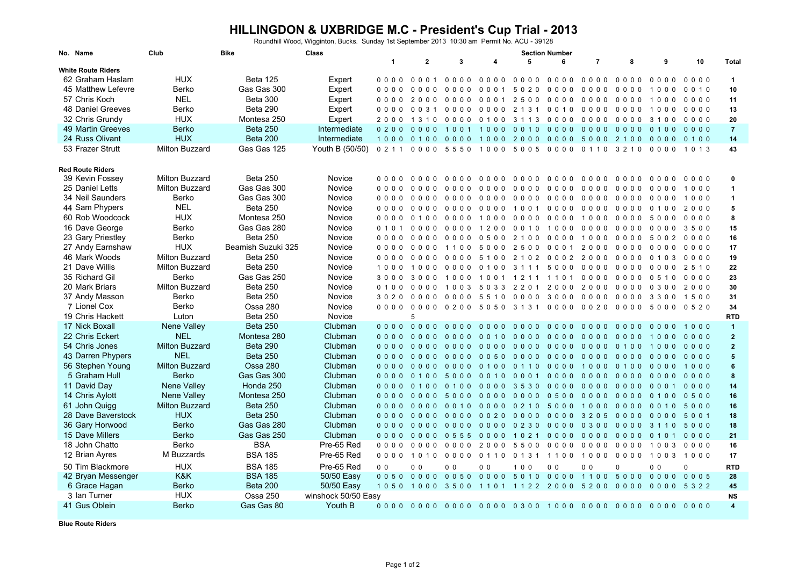## **HILLINGDON & UXBRIDGE M.C - President's Cup Trial - 2013** Roundhill Wood, Wigginton, Bucks. Sunday 1st September 2013 10:30 am Permit No. ACU - 39128

| No. Name                  | Club                  | <b>Bike</b>        | Class               | <b>Section Number</b>    |                                  |                          |                          |                          |                                                   |                |                          |                          |             |                      |
|---------------------------|-----------------------|--------------------|---------------------|--------------------------|----------------------------------|--------------------------|--------------------------|--------------------------|---------------------------------------------------|----------------|--------------------------|--------------------------|-------------|----------------------|
| <b>White Route Riders</b> |                       |                    |                     | $\mathbf{1}$             | $\mathbf{2}$                     | 3                        | 4                        | 5                        | 6                                                 | $\overline{7}$ | 8                        | 9                        | 10          | <b>Total</b>         |
|                           |                       |                    |                     |                          |                                  |                          |                          |                          |                                                   |                |                          |                          |             |                      |
| 62 Graham Haslam          | <b>HUX</b>            | <b>Beta 125</b>    | Expert              | 0000                     | 0001                             | $0000$                   | 0000                     | 0000                     | 0000                                              | $0000$         | $0000$                   | $0000$                   | $0000$      | $\mathbf{1}$         |
| 45 Matthew Lefevre        | <b>Berko</b>          | Gas Gas 300        | Expert              | $0000$                   | 0000                             | $0000$                   | 0001                     | 5020                     | $0000$                                            | 0000           | 0000                     | 1000                     | 0010        | 10                   |
| 57 Chris Koch             | <b>NEL</b>            | <b>Beta 300</b>    | Expert              | 0000                     | 2000                             | $0000$                   | 0001                     | 2500                     | $0000$                                            | 0000           | 0000                     | 1000                     | 0000        | 11                   |
| <b>48 Daniel Greeves</b>  | Berko                 | <b>Beta 290</b>    | Expert              | $0000$                   | 0 0 3 1                          |                          | 000000000                | 2 1 3 1                  | 0 0 1 0                                           | $0000$         | 0000                     | 1000                     | $0000$      | 13                   |
| 32 Chris Grundy           | <b>HUX</b>            | Montesa 250        | Expert              | 2000                     | 1 3 1 0                          | 0000                     | 0100                     | 3 1 1 3                  | 0000                                              | $0000$         | 0000                     | 3100                     | 0000        | 20                   |
| 49 Martin Greeves         | <b>Berko</b>          | <b>Beta 250</b>    | Intermediate        | 0200                     | 0 <sub>0</sub><br>0 <sub>0</sub> | 100<br>$\overline{1}$    | 1000                     | 0010                     | $0000$                                            | $0000$         | $0000$                   | 0100                     | $0000$      | $\overline{7}$       |
| 24 Russ Olivant           | <b>HUX</b>            | <b>Beta 200</b>    | Intermediate        | 1000                     |                                  | 0100 0000 1000           |                          |                          | 2000 0000                                         | 5000 2100      |                          | $0000$                   | 0100        | 14                   |
| 53 Frazer Strutt          | Milton Buzzard        | Gas Gas 125        | Youth B (50/50)     | 0211                     |                                  | 0000 5550 1000           |                          |                          | 50050000                                          | 0 1 1 0        | 3 2 1 0                  | $0\quad 0\quad 0\quad 0$ | 1 0 1 3     | 43                   |
| <b>Red Route Riders</b>   |                       |                    |                     |                          |                                  |                          |                          |                          |                                                   |                |                          |                          |             |                      |
| 39 Kevin Fossey           | <b>Milton Buzzard</b> | <b>Beta 250</b>    | Novice              | $0\quad 0\quad 0\quad 0$ | 0000                             | $0000$                   | 0000                     | $0\quad 0\quad 0\quad 0$ | $0000$                                            | 0000           | $0\quad 0\quad 0\quad 0$ | $0\quad 0\quad 0\quad 0$ | $0000$      | 0                    |
| 25 Daniel Letts           | Milton Buzzard        | Gas Gas 300        | Novice              | 0000                     | 0000                             | $0000$                   | $0000$                   | $0000$                   | 0000                                              | 0000           |                          | 000000000                | 1000        | $\blacktriangleleft$ |
| 34 Neil Saunders          | Berko                 | Gas Gas 300        | Novice              | 0000                     | 0000                             | 0000                     | 0000                     | 0000                     | $0000$                                            | 0000           | 0000                     | 0000                     | 1000        | $\blacktriangleleft$ |
| 44 Sam Phypers            | <b>NEL</b>            | <b>Beta 250</b>    | Novice              | $0\quad 0\quad 0\quad 0$ | 0000                             | $0000$                   | 0000                     | 1001                     | $0000$                                            | 0000           | 00000100                 |                          | 2000        | 5                    |
| 60 Rob Woodcock           | <b>HUX</b>            | Montesa 250        | Novice              | $0000$                   | 0, 1, 0, 0                       | $0000$                   | 1000                     | $0000$                   | 0000                                              | 1000           | 0000                     | 5000                     | $0000$      | 8                    |
| 16 Dave George            | <b>Berko</b>          | Gas Gas 280        | Novice              | 0 1 0 1                  | 0000                             | $0000$                   | 1200                     | 0 0 1 0                  | 1000                                              | $0000$         | 0000                     | $0000$                   | 3500        | 15                   |
|                           |                       |                    |                     |                          |                                  |                          |                          |                          |                                                   |                |                          |                          |             |                      |
| 23 Gary Priestley         | Berko                 | <b>Beta 250</b>    | Novice              | 0000                     | 0000                             | $0\quad 0\quad 0\quad 0$ | 0500                     | 2 1 0 0                  | 0000                                              | 1000           |                          | 0000 5002                | 0000        | 16                   |
| 27 Andy Earnshaw          | <b>HUX</b>            | Beamish Suzuki 325 | Novice              | 0000                     | 0000                             | 1100                     | 5000                     | 2500                     | 0001                                              | 2000           | 0000                     | 0000                     | 0000        | 17                   |
| 46 Mark Woods             | Milton Buzzard        | <b>Beta 250</b>    | Novice              | 0000                     | 0000                             |                          | 0000 5100                |                          | 2102 0002                                         | 2000           | 0000                     | 0 1 0 3                  | 0000        | 19                   |
| 21 Dave Willis            | Milton Buzzard        | Beta 250           | Novice              | 1000                     | 1000                             | 0000                     | 0100                     | 3 1 1 1                  | 5000                                              | 0000           | 0000                     | 0000                     | 2510        | 22                   |
| 35 Richard Gil            | Berko                 | Gas Gas 250        | Novice              | 3000                     |                                  |                          | 3000 1000 1001 1211 1101 |                          |                                                   | 0000           | 0000 0510                |                          | $0000$      | 23                   |
| 20 Mark Briars            | <b>Milton Buzzard</b> | <b>Beta 250</b>    | Novice              | 0 1 0 0                  | 0000                             | 1003                     | 5 0 3 3                  | 2 2 0 1                  | 2000                                              | 2000           | $0000$                   | 0 3 0 0                  | 2000        | 30                   |
| 37 Andy Masson            | <b>Berko</b>          | <b>Beta 250</b>    | Novice              | 3020                     | $0000$                           |                          | 0000 5510                | 0000                     | 3000                                              | 0000           | 0000                     | 3300                     | 1500        | 31                   |
| 7 Lionel Cox              | Berko                 | Ossa 280           | Novice              |                          |                                  |                          |                          |                          | 0000 0000 0200 5050 3131 0000 0020 0000 5000 0520 |                |                          |                          |             | 34                   |
| 19 Chris Hackett          | Luton                 | <b>Beta 250</b>    | Novice              |                          | 5                                |                          |                          |                          |                                                   |                |                          |                          |             | <b>RTD</b>           |
| 17 Nick Boxall            | <b>Nene Valley</b>    | <b>Beta 250</b>    | Clubman             |                          | 0000 0000 0000 0000              |                          |                          |                          | 00000000                                          | 0000           | 0000 0000                |                          | 1000        | $\blacktriangleleft$ |
| 22 Chris Eckert           | <b>NEL</b>            | Montesa 280        | Clubman             | $0000$                   | $0000$                           | $0000$                   | 0010                     | $0000$                   | $0000$                                            | $0000$         | $0000$                   | 1000                     | $0000$      | $\overline{2}$       |
| 54 Chris Jones            | <b>Milton Buzzard</b> | <b>Beta 290</b>    | Clubman             | $0000$                   | $0000$                           | $0000$                   | $0000$                   | $0000$                   | $0000$                                            | $0000$         | 0100                     | 1000                     | $0000$      | $\overline{2}$       |
| 43 Darren Phypers         | <b>NEL</b>            | <b>Beta 250</b>    | Clubman             | $0000$                   |                                  | 0000 0000 0050           |                          | 0000                     | $0000$                                            | 0000           | $0000$                   | $0000$                   | $0000$      | 5                    |
| 56 Stephen Young          | <b>Milton Buzzard</b> | <b>Ossa 280</b>    | Clubman             | $0000$                   | $0000$                           | $0000$                   | 0 1 0 0                  | 0 1 1 0                  | 0000                                              | 1000           | 0100                     | $0000$                   | 1000        | 6                    |
| 5 Graham Hull             | <b>Berko</b>          | Gas Gas 300        | Clubman             | $0000$                   | 0100 5000 0010                   |                          |                          |                          | 00010000                                          | 0000 0000 0000 |                          |                          | $0000$      | 8                    |
| 11 David Day              | Nene Valley           | Honda 250          | Clubman             | $0000$                   | 0 1 0 0                          | 0 1 0 0                  | 0000                     | 3530                     | 0000                                              | $0000$         | $0000$                   |                          | 00010000    | 14                   |
| 14 Chris Aylott           | Nene Valley           | Montesa 250        | Clubman             |                          |                                  |                          |                          |                          |                                                   |                |                          |                          |             | 16                   |
|                           |                       |                    |                     | $0000$                   | $0000$                           | 5000                     | $0000$                   | $0000$                   | 0500                                              | 0000           | $0000$                   | 0100                     | 0500        |                      |
| 61 John Quigg             | <b>Milton Buzzard</b> | <b>Beta 250</b>    | Clubman             | $0000$                   | $0000$                           | 0010                     | 0000                     | 0 2 1 0                  | 5000                                              | 1000           | 00000010                 |                          | 5000        | 16                   |
| 28 Dave Baverstock        | <b>HUX</b>            | <b>Beta 250</b>    | Clubman             | $0000$                   | $0000$                           | $0000$                   | 0020                     | 0000                     | 0000                                              | 3 2 0 5        | 0000                     | 0000                     | 5001        | 18                   |
| 36 Gary Horwood           | <b>Berko</b>          | Gas Gas 280        | Clubman             | $0000$                   |                                  | 0000 0000 0000           |                          |                          | 0230 0000 0300 0000 3110 5000                     |                |                          |                          |             | 18                   |
| 15 Dave Millers           | <b>Berko</b>          | Gas Gas 250        | Clubman             | $0000$                   |                                  | 0000 0555                | $0000$                   | 1021                     | 0000                                              | $0000$         | 0000                     |                          | 0101 0000   | 21                   |
| 18 John Chatto            | <b>Berko</b>          | <b>BSA</b>         | Pre-65 Red          | $0000$                   | $0000$                           |                          | 0000 2000                |                          | 5500 0000                                         | 0000           | 0000                     | 1003                     | 0000        | 16                   |
| 12 Brian Ayres            | M Buzzards            | <b>BSA 185</b>     | Pre-65 Red          |                          | 0000 1010                        | $0000$                   | 0110                     |                          | 0131 1100 1000                                    |                |                          | 0000 1003                | 1000        | 17                   |
| 50 Tim Blackmore          | <b>HUX</b>            | <b>BSA 185</b>     | Pre-65 Red          | 0 <sub>0</sub>           | 0 <sub>0</sub>                   | 0 <sub>0</sub>           | 0 <sub>0</sub>           | 100                      | 0 <sub>0</sub>                                    | 0 <sub>0</sub> | $\mathbf 0$              | 0 <sub>0</sub>           | $\mathbf 0$ | <b>RTD</b>           |
| 42 Bryan Messenger        | K&K                   | <b>BSA 185</b>     | 50/50 Easy          |                          |                                  |                          |                          |                          | 0050 0000 0050 0000 5010 0000 1100 5000 0000 0005 |                |                          |                          |             | 28                   |
| 6 Grace Hagan             | <b>Berko</b>          | Beta 200           | 50/50 Easy          |                          |                                  |                          |                          |                          | 1050 1000 3500 1101 1122 2000 5200                |                |                          | 0000 0000                | 5 3 2 2     | 45                   |
| 3 Ian Turner              | <b>HUX</b>            | Ossa 250           | winshock 50/50 Easy |                          |                                  |                          |                          |                          |                                                   |                |                          |                          |             | <b>NS</b>            |
| 41 Gus Oblein             | <b>Berko</b>          | Gas Gas 80         | Youth B             |                          |                                  |                          |                          |                          |                                                   |                |                          |                          |             | $\overline{4}$       |

**Blue Route Riders**